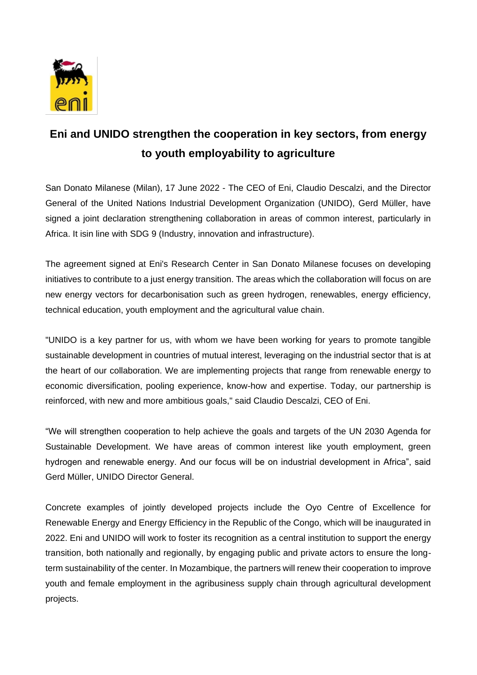

## **Eni and UNIDO strengthen the cooperation in key sectors, from energy to youth employability to agriculture**

San Donato Milanese (Milan), 17 June 2022 - The CEO of Eni, Claudio Descalzi, and the Director General of the United Nations Industrial Development Organization (UNIDO), Gerd Müller, have signed a joint declaration strengthening collaboration in areas of common interest, particularly in Africa. It isin line with SDG 9 (Industry, innovation and infrastructure).

The agreement signed at Eni's Research Center in San Donato Milanese focuses on developing initiatives to contribute to a just energy transition. The areas which the collaboration will focus on are new energy vectors for decarbonisation such as green hydrogen, renewables, energy efficiency, technical education, youth employment and the agricultural value chain.

"UNIDO is a key partner for us, with whom we have been working for years to promote tangible sustainable development in countries of mutual interest, leveraging on the industrial sector that is at the heart of our collaboration. We are implementing projects that range from renewable energy to economic diversification, pooling experience, know-how and expertise. Today, our partnership is reinforced, with new and more ambitious goals," said Claudio Descalzi, CEO of Eni.

"We will strengthen cooperation to help achieve the goals and targets of the UN 2030 Agenda for Sustainable Development. We have areas of common interest like youth employment, green hydrogen and renewable energy. And our focus will be on industrial development in Africa", said Gerd Müller, UNIDO Director General.

Concrete examples of jointly developed projects include the Oyo Centre of Excellence for Renewable Energy and Energy Efficiency in the Republic of the Congo, which will be inaugurated in 2022. Eni and UNIDO will work to foster its recognition as a central institution to support the energy transition, both nationally and regionally, by engaging public and private actors to ensure the longterm sustainability of the center. In Mozambique, the partners will renew their cooperation to improve youth and female employment in the agribusiness supply chain through agricultural development projects.